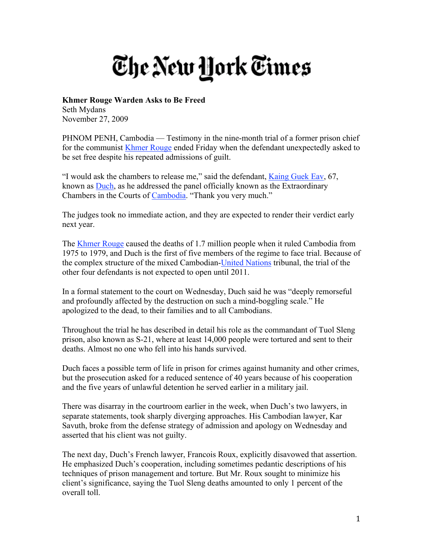## The New York Times

## **Khmer Rouge Warden Asks to Be Freed**

Seth Mydans November 27, 2009

PHNOM PENH, Cambodia — Testimony in the nine-month trial of a former prison chief for the communist Khmer Rouge ended Friday when the defendant unexpectedly asked to be set free despite his repeated admissions of guilt.

"I would ask the chambers to release me," said the defendant, Kaing Guek Eav, 67, known as Duch, as he addressed the panel officially known as the Extraordinary Chambers in the Courts of Cambodia. "Thank you very much."

The judges took no immediate action, and they are expected to render their verdict early next year.

The Khmer Rouge caused the deaths of 1.7 million people when it ruled Cambodia from 1975 to 1979, and Duch is the first of five members of the regime to face trial. Because of the complex structure of the mixed Cambodian-United Nations tribunal, the trial of the other four defendants is not expected to open until 2011.

In a formal statement to the court on Wednesday, Duch said he was "deeply remorseful and profoundly affected by the destruction on such a mind-boggling scale." He apologized to the dead, to their families and to all Cambodians.

Throughout the trial he has described in detail his role as the commandant of Tuol Sleng prison, also known as S-21, where at least 14,000 people were tortured and sent to their deaths. Almost no one who fell into his hands survived.

Duch faces a possible term of life in prison for crimes against humanity and other crimes, but the prosecution asked for a reduced sentence of 40 years because of his cooperation and the five years of unlawful detention he served earlier in a military jail.

There was disarray in the courtroom earlier in the week, when Duch's two lawyers, in separate statements, took sharply diverging approaches. His Cambodian lawyer, Kar Savuth, broke from the defense strategy of admission and apology on Wednesday and asserted that his client was not guilty.

The next day, Duch's French lawyer, Francois Roux, explicitly disavowed that assertion. He emphasized Duch's cooperation, including sometimes pedantic descriptions of his techniques of prison management and torture. But Mr. Roux sought to minimize his client's significance, saying the Tuol Sleng deaths amounted to only 1 percent of the overall toll.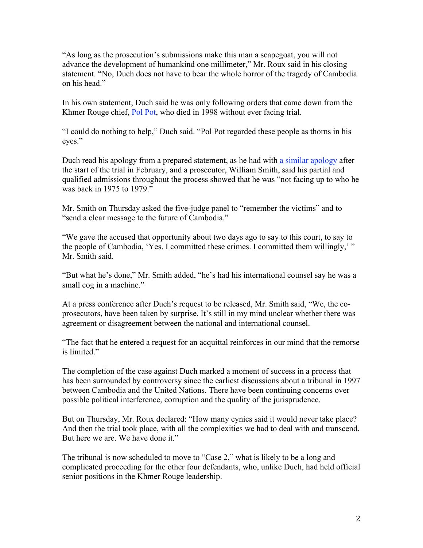"As long as the prosecution's submissions make this man a scapegoat, you will not advance the development of humankind one millimeter," Mr. Roux said in his closing statement. "No, Duch does not have to bear the whole horror of the tragedy of Cambodia on his head."

In his own statement, Duch said he was only following orders that came down from the Khmer Rouge chief, Pol Pot, who died in 1998 without ever facing trial.

"I could do nothing to help," Duch said. "Pol Pot regarded these people as thorns in his eyes."

Duch read his apology from a prepared statement, as he had with a similar apology after the start of the trial in February, and a prosecutor, William Smith, said his partial and qualified admissions throughout the process showed that he was "not facing up to who he was back in 1975 to 1979."

Mr. Smith on Thursday asked the five-judge panel to "remember the victims" and to "send a clear message to the future of Cambodia."

"We gave the accused that opportunity about two days ago to say to this court, to say to the people of Cambodia, 'Yes, I committed these crimes. I committed them willingly,' " Mr. Smith said.

"But what he's done," Mr. Smith added, "he's had his international counsel say he was a small cog in a machine."

At a press conference after Duch's request to be released, Mr. Smith said, "We, the coprosecutors, have been taken by surprise. It's still in my mind unclear whether there was agreement or disagreement between the national and international counsel.

"The fact that he entered a request for an acquittal reinforces in our mind that the remorse is limited."

The completion of the case against Duch marked a moment of success in a process that has been surrounded by controversy since the earliest discussions about a tribunal in 1997 between Cambodia and the United Nations. There have been continuing concerns over possible political interference, corruption and the quality of the jurisprudence.

But on Thursday, Mr. Roux declared: "How many cynics said it would never take place? And then the trial took place, with all the complexities we had to deal with and transcend. But here we are. We have done it."

The tribunal is now scheduled to move to "Case 2," what is likely to be a long and complicated proceeding for the other four defendants, who, unlike Duch, had held official senior positions in the Khmer Rouge leadership.